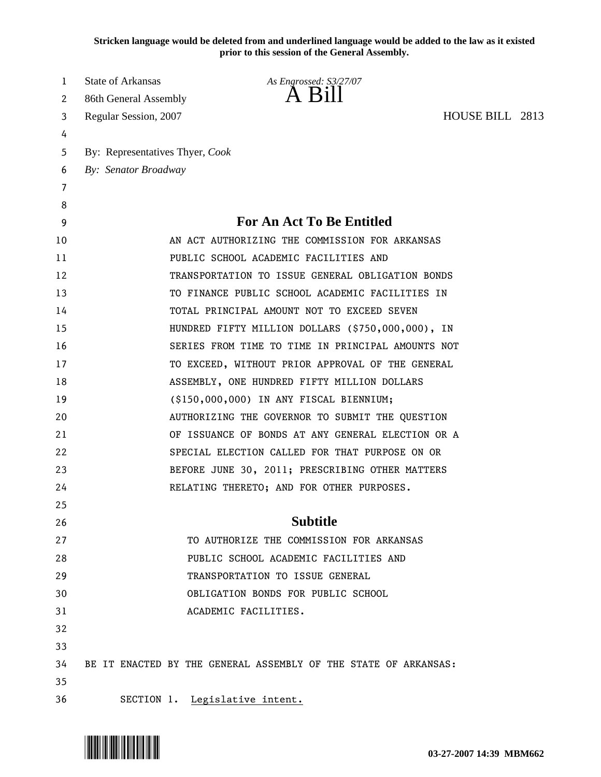**Stricken language would be deleted from and underlined language would be added to the law as it existed prior to this session of the General Assembly.**

| 1  | <b>State of Arkansas</b>        | As Engrossed: S3/27/07                                          |                 |  |
|----|---------------------------------|-----------------------------------------------------------------|-----------------|--|
| 2  | 86th General Assembly           | A Bill                                                          |                 |  |
| 3  | Regular Session, 2007           |                                                                 | HOUSE BILL 2813 |  |
| 4  |                                 |                                                                 |                 |  |
| 5  | By: Representatives Thyer, Cook |                                                                 |                 |  |
| 6  | By: Senator Broadway            |                                                                 |                 |  |
| 7  |                                 |                                                                 |                 |  |
| 8  |                                 |                                                                 |                 |  |
| 9  |                                 | <b>For An Act To Be Entitled</b>                                |                 |  |
| 10 |                                 | AN ACT AUTHORIZING THE COMMISSION FOR ARKANSAS                  |                 |  |
| 11 |                                 | PUBLIC SCHOOL ACADEMIC FACILITIES AND                           |                 |  |
| 12 |                                 | TRANSPORTATION TO ISSUE GENERAL OBLIGATION BONDS                |                 |  |
| 13 |                                 | TO FINANCE PUBLIC SCHOOL ACADEMIC FACILITIES IN                 |                 |  |
| 14 |                                 | TOTAL PRINCIPAL AMOUNT NOT TO EXCEED SEVEN                      |                 |  |
| 15 |                                 | HUNDRED FIFTY MILLION DOLLARS (\$750,000,000), IN               |                 |  |
| 16 |                                 | SERIES FROM TIME TO TIME IN PRINCIPAL AMOUNTS NOT               |                 |  |
| 17 |                                 | TO EXCEED, WITHOUT PRIOR APPROVAL OF THE GENERAL                |                 |  |
| 18 |                                 | ASSEMBLY, ONE HUNDRED FIFTY MILLION DOLLARS                     |                 |  |
| 19 |                                 | (\$150,000,000) IN ANY FISCAL BIENNIUM;                         |                 |  |
| 20 |                                 | AUTHORIZING THE GOVERNOR TO SUBMIT THE QUESTION                 |                 |  |
| 21 |                                 | OF ISSUANCE OF BONDS AT ANY GENERAL ELECTION OR A               |                 |  |
| 22 |                                 | SPECIAL ELECTION CALLED FOR THAT PURPOSE ON OR                  |                 |  |
| 23 |                                 | BEFORE JUNE 30, 2011; PRESCRIBING OTHER MATTERS                 |                 |  |
| 24 |                                 | RELATING THERETO; AND FOR OTHER PURPOSES.                       |                 |  |
| 25 |                                 |                                                                 |                 |  |
| 26 |                                 | <b>Subtitle</b>                                                 |                 |  |
| 27 |                                 | TO AUTHORIZE THE COMMISSION FOR ARKANSAS                        |                 |  |
| 28 |                                 | PUBLIC SCHOOL ACADEMIC FACILITIES AND                           |                 |  |
| 29 |                                 | TRANSPORTATION TO ISSUE GENERAL                                 |                 |  |
| 30 |                                 | OBLIGATION BONDS FOR PUBLIC SCHOOL                              |                 |  |
| 31 |                                 | ACADEMIC FACILITIES.                                            |                 |  |
| 32 |                                 |                                                                 |                 |  |
| 33 |                                 |                                                                 |                 |  |
| 34 |                                 | BE IT ENACTED BY THE GENERAL ASSEMBLY OF THE STATE OF ARKANSAS: |                 |  |
| 35 |                                 |                                                                 |                 |  |
| 36 |                                 | SECTION 1. Legislative intent.                                  |                 |  |

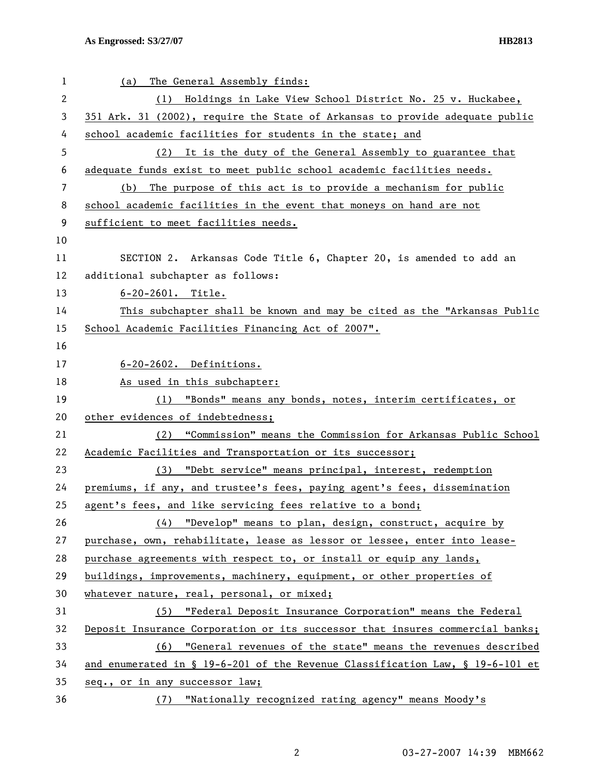| 1  | The General Assembly finds:<br>(a)                                            |
|----|-------------------------------------------------------------------------------|
| 2  | Holdings in Lake View School District No. 25 v. Huckabee,<br>(1)              |
| 3  | 351 Ark. 31 (2002), require the State of Arkansas to provide adequate public  |
| 4  | school academic facilities for students in the state; and                     |
| 5  | (2) It is the duty of the General Assembly to guarantee that                  |
| 6  | adequate funds exist to meet public school academic facilities needs.         |
| 7  | The purpose of this act is to provide a mechanism for public<br>(b)           |
| 8  | school academic facilities in the event that moneys on hand are not           |
| 9  | sufficient to meet facilities needs.                                          |
| 10 |                                                                               |
| 11 | SECTION 2. Arkansas Code Title 6, Chapter 20, is amended to add an            |
| 12 | additional subchapter as follows:                                             |
| 13 | $6 - 20 - 2601$ . Title.                                                      |
| 14 | This subchapter shall be known and may be cited as the "Arkansas Public       |
| 15 | School Academic Facilities Financing Act of 2007".                            |
| 16 |                                                                               |
| 17 | 6-20-2602. Definitions.                                                       |
| 18 | As used in this subchapter:                                                   |
| 19 | (1) "Bonds" means any bonds, notes, interim certificates, or                  |
| 20 | other evidences of indebtedness;                                              |
| 21 | (2) "Commission" means the Commission for Arkansas Public School              |
| 22 | Academic Facilities and Transportation or its successor;                      |
| 23 | (3) "Debt service" means principal, interest, redemption                      |
| 24 | premiums, if any, and trustee's fees, paying agent's fees, dissemination      |
| 25 | agent's fees, and like servicing fees relative to a bond;                     |
| 26 | "Develop" means to plan, design, construct, acquire by<br>(4)                 |
| 27 | purchase, own, rehabilitate, lease as lessor or lessee, enter into lease-     |
| 28 | purchase agreements with respect to, or install or equip any lands,           |
| 29 | buildings, improvements, machinery, equipment, or other properties of         |
| 30 | whatever nature, real, personal, or mixed;                                    |
| 31 | (5) "Federal Deposit Insurance Corporation" means the Federal                 |
| 32 | Deposit Insurance Corporation or its successor that insures commercial banks; |
| 33 | (6) "General revenues of the state" means the revenues described              |
| 34 | and enumerated in § 19-6-201 of the Revenue Classification Law, § 19-6-101 et |
| 35 | seq., or in any successor law;                                                |
| 36 | "Nationally recognized rating agency" means Moody's<br>(7)                    |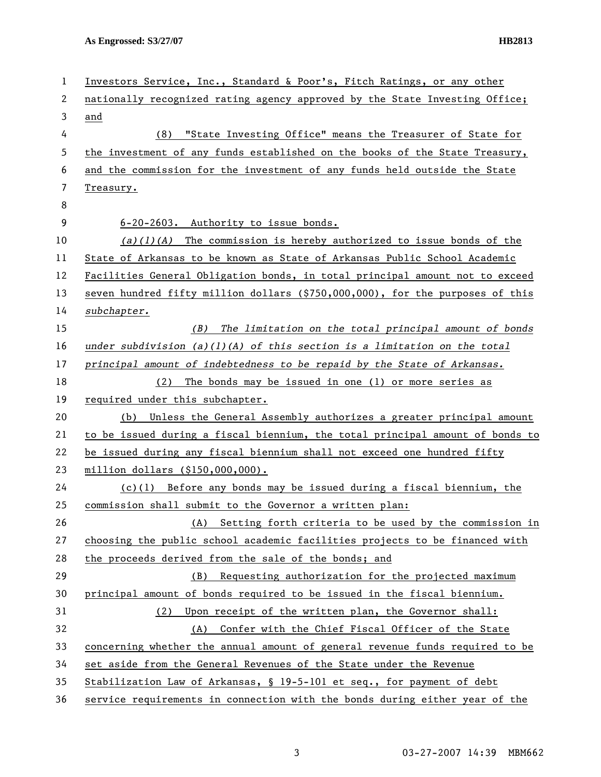| 1  | Investors Service, Inc., Standard & Poor's, Fitch Ratings, or any other       |
|----|-------------------------------------------------------------------------------|
| 2  | nationally recognized rating agency approved by the State Investing Office;   |
| 3  | and                                                                           |
| 4  | "State Investing Office" means the Treasurer of State for<br>(8)              |
| 5  | the investment of any funds established on the books of the State Treasury,   |
| 6  | and the commission for the investment of any funds held outside the State     |
| 7  | Treasury.                                                                     |
| 8  |                                                                               |
| 9  | 6-20-2603. Authority to issue bonds.                                          |
| 10 | $(a)(1)(A)$ The commission is hereby authorized to issue bonds of the         |
| 11 | State of Arkansas to be known as State of Arkansas Public School Academic     |
| 12 | Facilities General Obligation bonds, in total principal amount not to exceed  |
| 13 | seven hundred fifty million dollars (\$750,000,000), for the purposes of this |
| 14 | subchapter.                                                                   |
| 15 | The limitation on the total principal amount of bonds<br>(B)                  |
| 16 | under subdivision $(a)(1)(A)$ of this section is a limitation on the total    |
| 17 | principal amount of indebtedness to be repaid by the State of Arkansas.       |
| 18 | (2) The bonds may be issued in one (1) or more series as                      |
| 19 | required under this subchapter.                                               |
| 20 | (b) Unless the General Assembly authorizes a greater principal amount         |
| 21 | to be issued during a fiscal biennium, the total principal amount of bonds to |
| 22 | be issued during any fiscal biennium shall not exceed one hundred fifty       |
| 23 | million dollars (\$150,000,000).                                              |
| 24 | $(c)(1)$ Before any bonds may be issued during a fiscal biennium, the         |
| 25 | commission shall submit to the Governor a written plan:                       |
| 26 | Setting forth criteria to be used by the commission in<br>(A)                 |
| 27 | choosing the public school academic facilities projects to be financed with   |
| 28 | the proceeds derived from the sale of the bonds; and                          |
| 29 | Requesting authorization for the projected maximum<br>(B)                     |
| 30 | principal amount of bonds required to be issued in the fiscal biennium.       |
| 31 | Upon receipt of the written plan, the Governor shall:<br>(2)                  |
| 32 | Confer with the Chief Fiscal Officer of the State<br>(A)                      |
| 33 | concerning whether the annual amount of general revenue funds required to be  |
| 34 | set aside from the General Revenues of the State under the Revenue            |
| 35 | Stabilization Law of Arkansas, § 19-5-101 et seq., for payment of debt        |
| 36 | service requirements in connection with the bonds during either year of the   |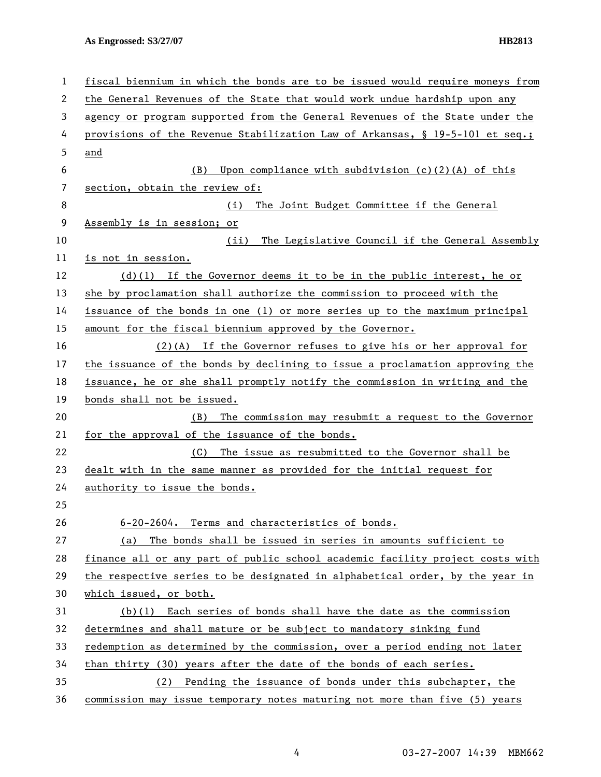| 1              | fiscal biennium in which the bonds are to be issued would require moneys from |
|----------------|-------------------------------------------------------------------------------|
| 2              | the General Revenues of the State that would work undue hardship upon any     |
| 3              | agency or program supported from the General Revenues of the State under the  |
| 4              | provisions of the Revenue Stabilization Law of Arkansas, § 19-5-101 et seq.;  |
| 5              | and                                                                           |
| 6              | Upon compliance with subdivision $(c)(2)(A)$ of this<br>(B)                   |
| $\overline{7}$ | section, obtain the review of:                                                |
| 8              | The Joint Budget Committee if the General<br>(i)                              |
| 9              | Assembly is in session; or                                                    |
| 10             | The Legislative Council if the General Assembly<br>(ii)                       |
| 11             | is not in session.                                                            |
| 12             | $(d)(1)$ If the Governor deems it to be in the public interest, he or         |
| 13             | she by proclamation shall authorize the commission to proceed with the        |
| 14             | issuance of the bonds in one (1) or more series up to the maximum principal   |
| 15             | amount for the fiscal biennium approved by the Governor.                      |
| 16             | $(2)(A)$ If the Governor refuses to give his or her approval for              |
| 17             | the issuance of the bonds by declining to issue a proclamation approving the  |
| 18             | issuance, he or she shall promptly notify the commission in writing and the   |
| 19             | bonds shall not be issued.                                                    |
| 20             | The commission may resubmit a request to the Governor<br>(B)                  |
| 21             | for the approval of the issuance of the bonds.                                |
| 22             | The issue as resubmitted to the Governor shall be<br>(C)                      |
| 23             | dealt with in the same manner as provided for the initial request for         |
| 24             | authority to issue the bonds.                                                 |
| 25             |                                                                               |
| 26             | 6-20-2604. Terms and characteristics of bonds.                                |
| 27             | The bonds shall be issued in series in amounts sufficient to<br>(a)           |
| 28             | finance all or any part of public school academic facility project costs with |
| 29             | the respective series to be designated in alphabetical order, by the year in  |
| 30             | which issued, or both.                                                        |
| 31             | $(b)(1)$ Each series of bonds shall have the date as the commission           |
| 32             | determines and shall mature or be subject to mandatory sinking fund           |
| 33             | redemption as determined by the commission, over a period ending not later    |
| 34             | than thirty (30) years after the date of the bonds of each series.            |
| 35             | Pending the issuance of bonds under this subchapter, the<br>(2)               |
| 36             | commission may issue temporary notes maturing not more than five (5) years    |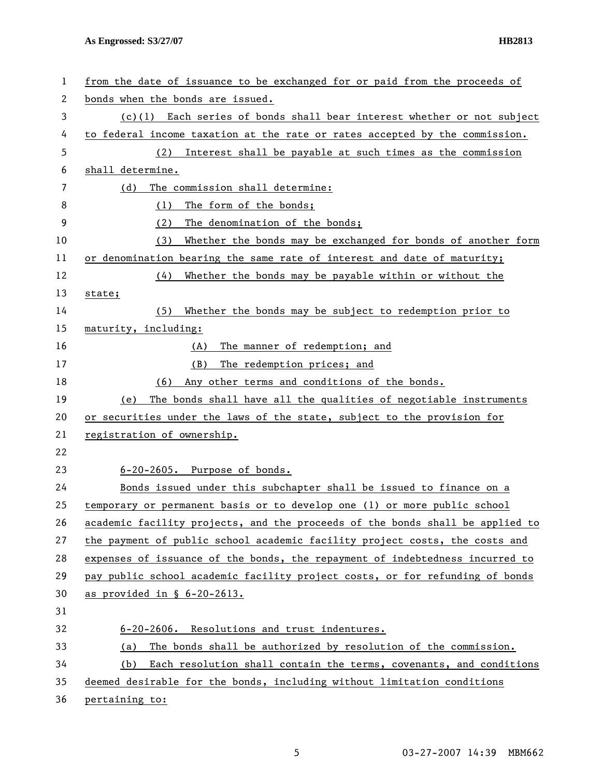| 1  | from the date of issuance to be exchanged for or paid from the proceeds of    |
|----|-------------------------------------------------------------------------------|
| 2  | bonds when the bonds are issued.                                              |
| 3  | $(c)(1)$ Each series of bonds shall bear interest whether or not subject      |
| 4  | to federal income taxation at the rate or rates accepted by the commission.   |
| 5  | Interest shall be payable at such times as the commission<br>(2)              |
| 6  | shall determine.                                                              |
| 7  | The commission shall determine:<br>(d)                                        |
| 8  | The form of the bonds;<br>(1)                                                 |
| 9  | The denomination of the bonds;<br>(2)                                         |
| 10 | Whether the bonds may be exchanged for bonds of another form<br>(3)           |
| 11 | or denomination bearing the same rate of interest and date of maturity;       |
| 12 | (4)<br>Whether the bonds may be payable within or without the                 |
| 13 | state;                                                                        |
| 14 | Whether the bonds may be subject to redemption prior to<br>(5)                |
| 15 | maturity, including:                                                          |
| 16 | The manner of redemption; and<br>(A)                                          |
| 17 | The redemption prices; and<br>(B)                                             |
| 18 | Any other terms and conditions of the bonds.<br>(6)                           |
| 19 | The bonds shall have all the qualities of negotiable instruments<br>(e)       |
| 20 | or securities under the laws of the state, subject to the provision for       |
| 21 | registration of ownership.                                                    |
| 22 |                                                                               |
| 23 | 6-20-2605. Purpose of bonds.                                                  |
| 24 | Bonds issued under this subchapter shall be issued to finance on a            |
| 25 | temporary or permanent basis or to develop one (1) or more public school      |
| 26 | academic facility projects, and the proceeds of the bonds shall be applied to |
| 27 | the payment of public school academic facility project costs, the costs and   |
| 28 | expenses of issuance of the bonds, the repayment of indebtedness incurred to  |
| 29 | pay public school academic facility project costs, or for refunding of bonds  |
| 30 | as provided in § 6-20-2613.                                                   |
| 31 |                                                                               |
| 32 | 6-20-2606. Resolutions and trust indentures.                                  |
| 33 | The bonds shall be authorized by resolution of the commission.<br>(a)         |
| 34 | Each resolution shall contain the terms, covenants, and conditions<br>(b)     |
| 35 | deemed desirable for the bonds, including without limitation conditions       |
| 36 | pertaining to:                                                                |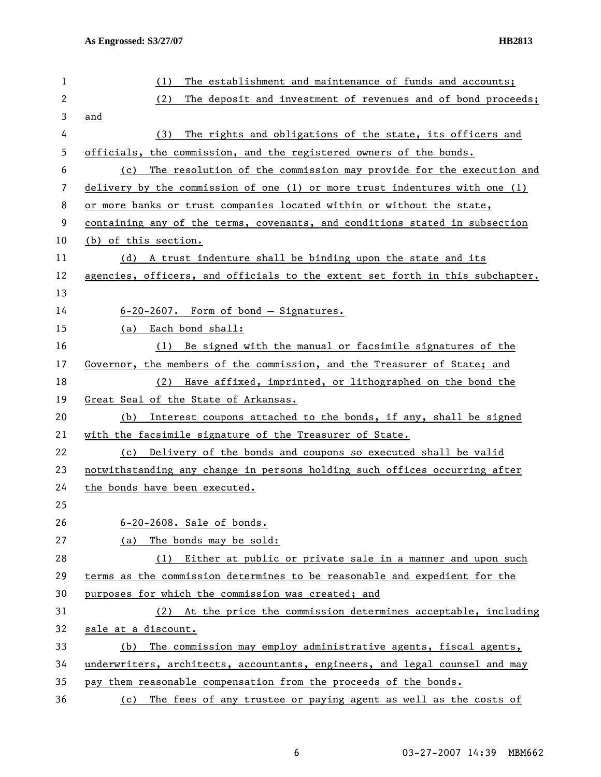| 1            | The establishment and maintenance of funds and accounts;<br>(1)               |
|--------------|-------------------------------------------------------------------------------|
| $\mathbf{2}$ | (2)<br>The deposit and investment of revenues and of bond proceeds;           |
| 3            | and                                                                           |
| 4            | The rights and obligations of the state, its officers and<br>(3)              |
| 5            | officials, the commission, and the registered owners of the bonds.            |
| 6            | The resolution of the commission may provide for the execution and<br>(c)     |
| 7            | delivery by the commission of one (1) or more trust indentures with one (1)   |
| 8            | or more banks or trust companies located within or without the state,         |
| 9            | containing any of the terms, covenants, and conditions stated in subsection   |
| 10           | (b) of this section.                                                          |
| 11           | (d) A trust indenture shall be binding upon the state and its                 |
| 12           | agencies, officers, and officials to the extent set forth in this subchapter. |
| 13           |                                                                               |
| 14           | $6-20-2607$ . Form of bond - Signatures.                                      |
| 15           | (a) Each bond shall:                                                          |
| 16           | Be signed with the manual or facsimile signatures of the<br>(1)               |
| 17           | Governor, the members of the commission, and the Treasurer of State; and      |
| 18           | Have affixed, imprinted, or lithographed on the bond the<br>(2)               |
| 19           | Great Seal of the State of Arkansas.                                          |
| 20           | Interest coupons attached to the bonds, if any, shall be signed<br>(b)        |
| 21           | with the facsimile signature of the Treasurer of State.                       |
| 22           | Delivery of the bonds and coupons so executed shall be valid<br>(c)           |
| 23           | notwithstanding any change in persons holding such offices occurring after    |
| 24           | the bonds have been executed.                                                 |
| 25           |                                                                               |
| 26           | 6-20-2608. Sale of bonds.                                                     |
| 27           | The bonds may be sold:<br>(a)                                                 |
| 28           | (1) Either at public or private sale in a manner and upon such                |
| 29           | terms as the commission determines to be reasonable and expedient for the     |
| 30           | purposes for which the commission was created; and                            |
| 31           | (2) At the price the commission determines acceptable, including              |
| 32           | sale at a discount.                                                           |
| 33           | The commission may employ administrative agents, fiscal agents,<br>(b)        |
| 34           | underwriters, architects, accountants, engineers, and legal counsel and may   |
| 35           | pay them reasonable compensation from the proceeds of the bonds.              |
| 36           | (c) The fees of any trustee or paying agent as well as the costs of           |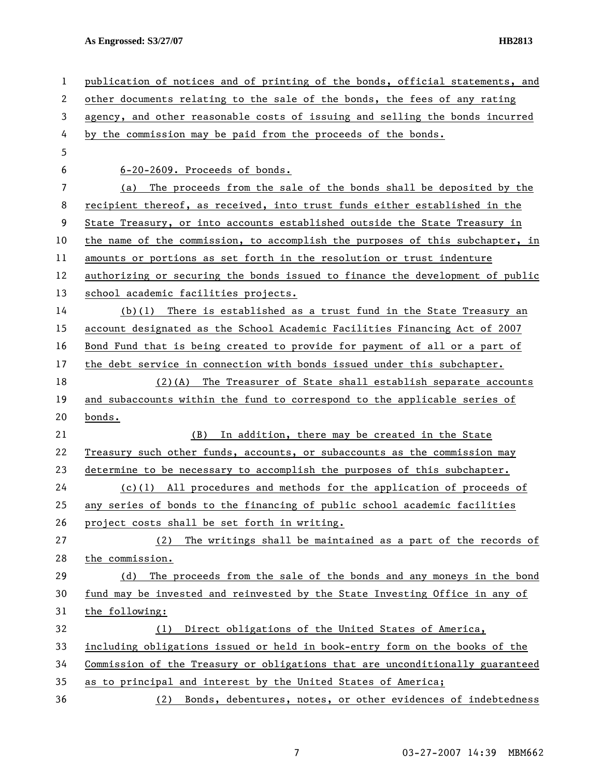| 1  | publication of notices and of printing of the bonds, official statements, and |
|----|-------------------------------------------------------------------------------|
| 2  | other documents relating to the sale of the bonds, the fees of any rating     |
| 3  | agency, and other reasonable costs of issuing and selling the bonds incurred  |
| 4  | by the commission may be paid from the proceeds of the bonds.                 |
| 5  |                                                                               |
| 6  | 6-20-2609. Proceeds of bonds.                                                 |
| 7  | (a) The proceeds from the sale of the bonds shall be deposited by the         |
| 8  | recipient thereof, as received, into trust funds either established in the    |
| 9  | State Treasury, or into accounts established outside the State Treasury in    |
| 10 | the name of the commission, to accomplish the purposes of this subchapter, in |
| 11 | amounts or portions as set forth in the resolution or trust indenture         |
| 12 | authorizing or securing the bonds issued to finance the development of public |
| 13 | school academic facilities projects.                                          |
| 14 | $(b)(1)$ There is established as a trust fund in the State Treasury an        |
| 15 | account designated as the School Academic Facilities Financing Act of 2007    |
| 16 | Bond Fund that is being created to provide for payment of all or a part of    |
| 17 | the debt service in connection with bonds issued under this subchapter.       |
| 18 | $(2)(A)$ The Treasurer of State shall establish separate accounts             |
| 19 | and subaccounts within the fund to correspond to the applicable series of     |
| 20 | bonds.                                                                        |
| 21 | (B)<br>In addition, there may be created in the State                         |
| 22 | Treasury such other funds, accounts, or subaccounts as the commission may     |
| 23 | determine to be necessary to accomplish the purposes of this subchapter.      |
| 24 | $(c)(1)$ All procedures and methods for the application of proceeds of        |
| 25 | any series of bonds to the financing of public school academic facilities     |
| 26 | project costs shall be set forth in writing.                                  |
| 27 | The writings shall be maintained as a part of the records of<br>(2)           |
| 28 | the commission.                                                               |
| 29 | The proceeds from the sale of the bonds and any moneys in the bond<br>(d)     |
| 30 | fund may be invested and reinvested by the State Investing Office in any of   |
| 31 | the following:                                                                |
| 32 | Direct obligations of the United States of America,<br>(1)                    |
| 33 | including obligations issued or held in book-entry form on the books of the   |
| 34 | Commission of the Treasury or obligations that are unconditionally guaranteed |
| 35 | as to principal and interest by the United States of America;                 |
| 36 | (2) Bonds, debentures, notes, or other evidences of indebtedness              |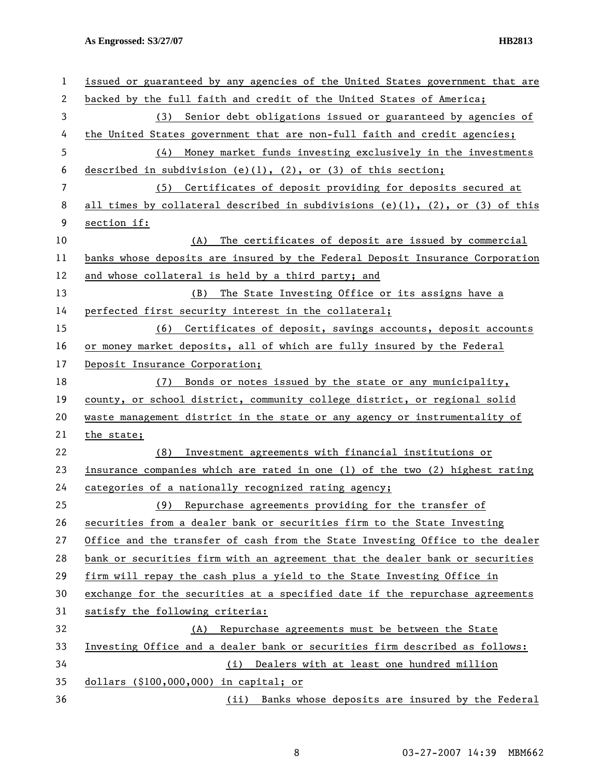| 1  | issued or guaranteed by any agencies of the United States government that are |
|----|-------------------------------------------------------------------------------|
| 2  | backed by the full faith and credit of the United States of America;          |
| 3  | (3) Senior debt obligations issued or guaranteed by agencies of               |
| 4  | the United States government that are non-full faith and credit agencies;     |
| 5  | (4) Money market funds investing exclusively in the investments               |
| 6  | described in subdivision (e)(1), (2), or (3) of this section;                 |
| 7  | (5) Certificates of deposit providing for deposits secured at                 |
| 8  | all times by collateral described in subdivisions (e)(1), (2), or (3) of this |
| 9  | section if:                                                                   |
| 10 | The certificates of deposit are issued by commercial<br>(A)                   |
| 11 | banks whose deposits are insured by the Federal Deposit Insurance Corporation |
| 12 | and whose collateral is held by a third party; and                            |
| 13 | (B) The State Investing Office or its assigns have a                          |
| 14 | perfected first security interest in the collateral;                          |
| 15 | (6) Certificates of deposit, savings accounts, deposit accounts               |
| 16 | or money market deposits, all of which are fully insured by the Federal       |
| 17 | Deposit Insurance Corporation;                                                |
| 18 | (7) Bonds or notes issued by the state or any municipality,                   |
| 19 | county, or school district, community college district, or regional solid     |
| 20 | waste management district in the state or any agency or instrumentality of    |
| 21 | the state;                                                                    |
| 22 | Investment agreements with financial institutions or<br>(8)                   |
| 23 | insurance companies which are rated in one (1) of the two (2) highest rating  |
| 24 | categories of a nationally recognized rating agency;                          |
| 25 | (9) Repurchase agreements providing for the transfer of                       |
| 26 | securities from a dealer bank or securities firm to the State Investing       |
| 27 | Office and the transfer of cash from the State Investing Office to the dealer |
| 28 | bank or securities firm with an agreement that the dealer bank or securities  |
| 29 | firm will repay the cash plus a yield to the State Investing Office in        |
| 30 | exchange for the securities at a specified date if the repurchase agreements  |
| 31 | satisfy the following criteria:                                               |
| 32 | Repurchase agreements must be between the State<br>(A)                        |
| 33 | Investing Office and a dealer bank or securities firm described as follows:   |
| 34 | Dealers with at least one hundred million<br>(i)                              |
| 35 | dollars $($100,000,000)$ in capital; or                                       |
| 36 | (ii) Banks whose deposits are insured by the Federal                          |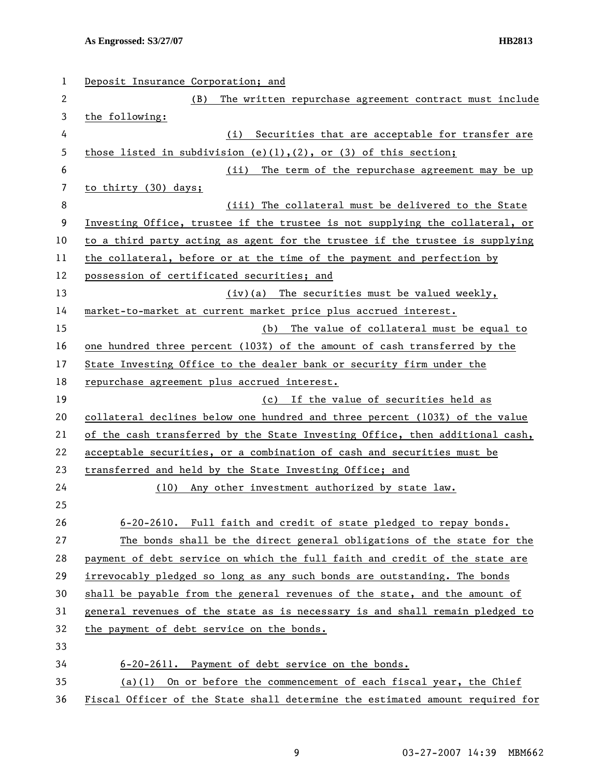| 1  | Deposit Insurance Corporation; and                                            |
|----|-------------------------------------------------------------------------------|
| 2  | The written repurchase agreement contract must include<br>(B)                 |
| 3  | the following:                                                                |
| 4  | Securities that are acceptable for transfer are<br>(i)                        |
| 5  | those listed in subdivision (e)(1),(2), or (3) of this section;               |
| 6  | The term of the repurchase agreement may be up<br>(ii)                        |
| 7  | to thirty (30) days;                                                          |
| 8  | (iii) The collateral must be delivered to the State                           |
| 9  | Investing Office, trustee if the trustee is not supplying the collateral, or  |
| 10 | to a third party acting as agent for the trustee if the trustee is supplying  |
| 11 | the collateral, before or at the time of the payment and perfection by        |
| 12 | possession of certificated securities; and                                    |
| 13 | (iv)(a) The securities must be valued weekly,                                 |
| 14 | market-to-market at current market price plus accrued interest.               |
| 15 | (b) The value of collateral must be equal to                                  |
| 16 | one hundred three percent (103%) of the amount of cash transferred by the     |
| 17 | State Investing Office to the dealer bank or security firm under the          |
| 18 | repurchase agreement plus accrued interest.                                   |
| 19 | (c) If the value of securities held as                                        |
| 20 | collateral declines below one hundred and three percent (103%) of the value   |
| 21 | of the cash transferred by the State Investing Office, then additional cash,  |
| 22 | acceptable securities, or a combination of cash and securities must be        |
| 23 | transferred and held by the State Investing Office; and                       |
| 24 | Any other investment authorized by state law.<br>(10)                         |
| 25 |                                                                               |
| 26 | 6-20-2610. Full faith and credit of state pledged to repay bonds.             |
| 27 | The bonds shall be the direct general obligations of the state for the        |
| 28 | payment of debt service on which the full faith and credit of the state are   |
| 29 | irrevocably pledged so long as any such bonds are outstanding. The bonds      |
| 30 | shall be payable from the general revenues of the state, and the amount of    |
| 31 | general revenues of the state as is necessary is and shall remain pledged to  |
| 32 | the payment of debt service on the bonds.                                     |
| 33 |                                                                               |
| 34 | 6-20-2611. Payment of debt service on the bonds.                              |
| 35 | (a)(1) On or before the commencement of each fiscal year, the Chief           |
| 36 | Fiscal Officer of the State shall determine the estimated amount required for |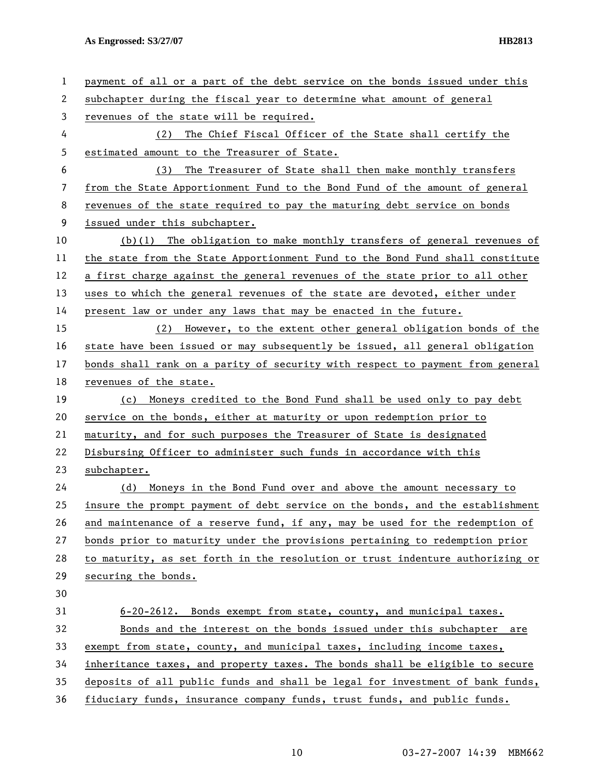| 1  | payment of all or a part of the debt service on the bonds issued under this   |
|----|-------------------------------------------------------------------------------|
| 2  | subchapter during the fiscal year to determine what amount of general         |
| 3  | revenues of the state will be required.                                       |
| 4  | The Chief Fiscal Officer of the State shall certify the<br>(2)                |
| 5  | estimated amount to the Treasurer of State.                                   |
| 6  | The Treasurer of State shall then make monthly transfers<br>(3)               |
| 7  | from the State Apportionment Fund to the Bond Fund of the amount of general   |
| 8  | revenues of the state required to pay the maturing debt service on bonds      |
| 9  | issued under this subchapter.                                                 |
| 10 | $(b)(1)$ The obligation to make monthly transfers of general revenues of      |
| 11 | the state from the State Apportionment Fund to the Bond Fund shall constitute |
| 12 | a first charge against the general revenues of the state prior to all other   |
| 13 | uses to which the general revenues of the state are devoted, either under     |
| 14 | present law or under any laws that may be enacted in the future.              |
| 15 | (2) However, to the extent other general obligation bonds of the              |
| 16 | state have been issued or may subsequently be issued, all general obligation  |
| 17 | bonds shall rank on a parity of security with respect to payment from general |
| 18 | revenues of the state.                                                        |
| 19 | (c) Moneys credited to the Bond Fund shall be used only to pay debt           |
| 20 | service on the bonds, either at maturity or upon redemption prior to          |
| 21 | maturity, and for such purposes the Treasurer of State is designated          |
| 22 | Disbursing Officer to administer such funds in accordance with this           |
| 23 | subchapter.                                                                   |
| 24 | (d) Moneys in the Bond Fund over and above the amount necessary to            |
| 25 | insure the prompt payment of debt service on the bonds, and the establishment |
| 26 | and maintenance of a reserve fund, if any, may be used for the redemption of  |
| 27 | bonds prior to maturity under the provisions pertaining to redemption prior   |
| 28 | to maturity, as set forth in the resolution or trust indenture authorizing or |
| 29 | securing the bonds.                                                           |
| 30 |                                                                               |
| 31 | 6-20-2612. Bonds exempt from state, county, and municipal taxes.              |
| 32 | Bonds and the interest on the bonds issued under this subchapter are          |
| 33 | exempt from state, county, and municipal taxes, including income taxes,       |
| 34 | inheritance taxes, and property taxes. The bonds shall be eligible to secure  |
| 35 | deposits of all public funds and shall be legal for investment of bank funds, |
| 36 | fiduciary funds, insurance company funds, trust funds, and public funds.      |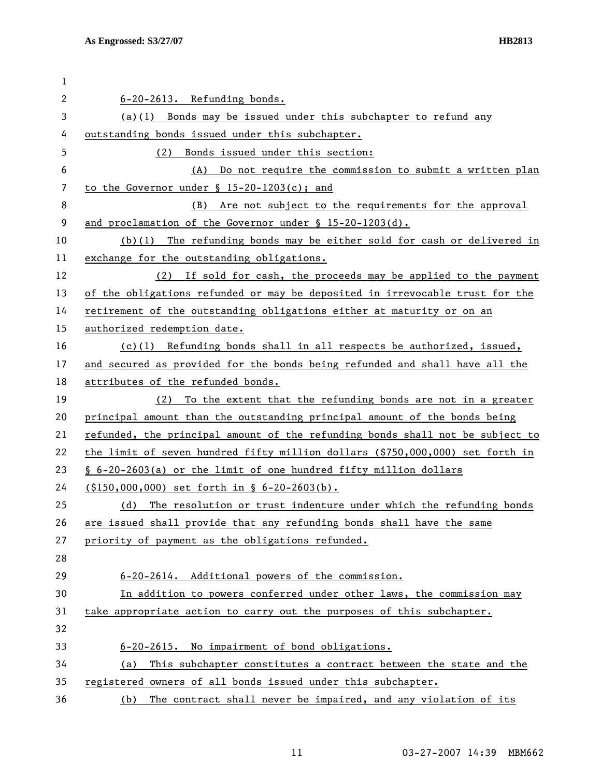| 1  |                                                                               |
|----|-------------------------------------------------------------------------------|
| 2  | 6-20-2613. Refunding bonds.                                                   |
| 3  | (a)(1) Bonds may be issued under this subchapter to refund any                |
| 4  | outstanding bonds issued under this subchapter.                               |
| 5  | Bonds issued under this section:<br>(2)                                       |
| 6  | (A) Do not require the commission to submit a written plan                    |
| 7  | to the Governor under $\S$ 15-20-1203(c); and                                 |
| 8  | Are not subject to the requirements for the approval<br>(B)                   |
| 9  | and proclamation of the Governor under § 15-20-1203(d).                       |
| 10 | (b)(1) The refunding bonds may be either sold for cash or delivered in        |
| 11 | exchange for the outstanding obligations.                                     |
| 12 | If sold for cash, the proceeds may be applied to the payment<br>(2)           |
| 13 | of the obligations refunded or may be deposited in irrevocable trust for the  |
| 14 | retirement of the outstanding obligations either at maturity or on an         |
| 15 | authorized redemption date.                                                   |
| 16 | $(c)(1)$ Refunding bonds shall in all respects be authorized, issued,         |
| 17 | and secured as provided for the bonds being refunded and shall have all the   |
| 18 | attributes of the refunded bonds.                                             |
| 19 | To the extent that the refunding bonds are not in a greater<br>(2)            |
| 20 | principal amount than the outstanding principal amount of the bonds being     |
| 21 | refunded, the principal amount of the refunding bonds shall not be subject to |
| 22 | the limit of seven hundred fifty million dollars (\$750,000,000) set forth in |
| 23 | § 6-20-2603(a) or the limit of one hundred fifty million dollars              |
| 24 | $(150,000,000)$ set forth in § 6-20-2603(b).                                  |
| 25 | The resolution or trust indenture under which the refunding bonds<br>(d)      |
| 26 | are issued shall provide that any refunding bonds shall have the same         |
| 27 | priority of payment as the obligations refunded.                              |
| 28 |                                                                               |
| 29 | 6-20-2614. Additional powers of the commission.                               |
| 30 | In addition to powers conferred under other laws, the commission may          |
| 31 | take appropriate action to carry out the purposes of this subchapter.         |
| 32 |                                                                               |
| 33 | 6-20-2615. No impairment of bond obligations.                                 |
| 34 | This subchapter constitutes a contract between the state and the<br>(a)       |
| 35 | registered owners of all bonds issued under this subchapter.                  |
| 36 | The contract shall never be impaired, and any violation of its<br>(b)         |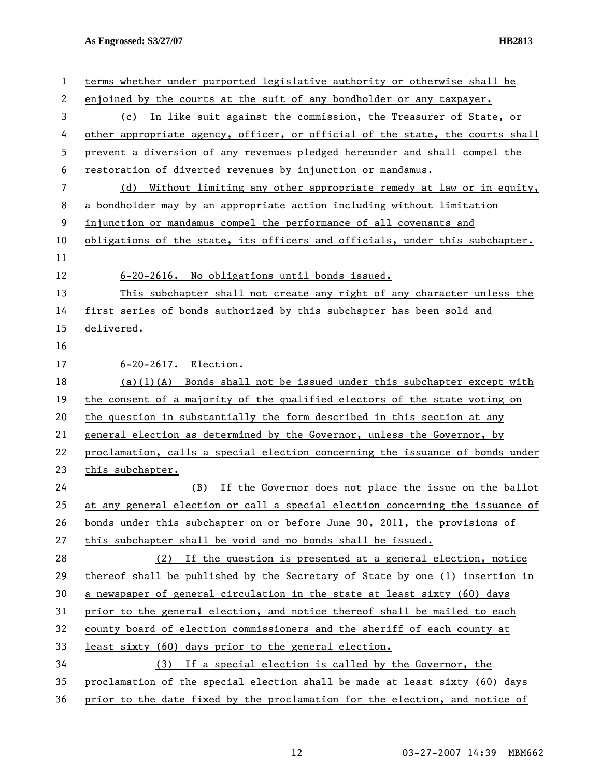| 1  | terms whether under purported legislative authority or otherwise shall be     |
|----|-------------------------------------------------------------------------------|
| 2  | enjoined by the courts at the suit of any bondholder or any taxpayer.         |
| 3  | (c) In like suit against the commission, the Treasurer of State, or           |
| 4  | other appropriate agency, officer, or official of the state, the courts shall |
| 5  | prevent a diversion of any revenues pledged hereunder and shall compel the    |
| 6  | restoration of diverted revenues by injunction or mandamus.                   |
| 7  | (d) Without limiting any other appropriate remedy at law or in equity,        |
| 8  | a bondholder may by an appropriate action including without limitation        |
| 9  | injunction or mandamus compel the performance of all covenants and            |
| 10 | obligations of the state, its officers and officials, under this subchapter.  |
| 11 |                                                                               |
| 12 | 6-20-2616. No obligations until bonds issued.                                 |
| 13 | This subchapter shall not create any right of any character unless the        |
| 14 | first series of bonds authorized by this subchapter has been sold and         |
| 15 | delivered.                                                                    |
| 16 |                                                                               |
| 17 | 6-20-2617. Election.                                                          |
| 18 | $(a)(1)(A)$ Bonds shall not be issued under this subchapter except with       |
| 19 | the consent of a majority of the qualified electors of the state voting on    |
| 20 | the question in substantially the form described in this section at any       |
| 21 | general election as determined by the Governor, unless the Governor, by       |
| 22 | proclamation, calls a special election concerning the issuance of bonds under |
| 23 | this subchapter.                                                              |
| 24 | (B) If the Governor does not place the issue on the ballot                    |
| 25 | at any general election or call a special election concerning the issuance of |
| 26 | bonds under this subchapter on or before June 30, 2011, the provisions of     |
| 27 | this subchapter shall be void and no bonds shall be issued.                   |
| 28 | (2) If the question is presented at a general election, notice                |
| 29 | thereof shall be published by the Secretary of State by one (1) insertion in  |
| 30 | a newspaper of general circulation in the state at least sixty (60) days      |
| 31 | prior to the general election, and notice thereof shall be mailed to each     |
| 32 | county board of election commissioners and the sheriff of each county at      |
| 33 | least sixty (60) days prior to the general election.                          |
| 34 | (3) If a special election is called by the Governor, the                      |
| 35 | proclamation of the special election shall be made at least sixty (60) days   |
| 36 | prior to the date fixed by the proclamation for the election, and notice of   |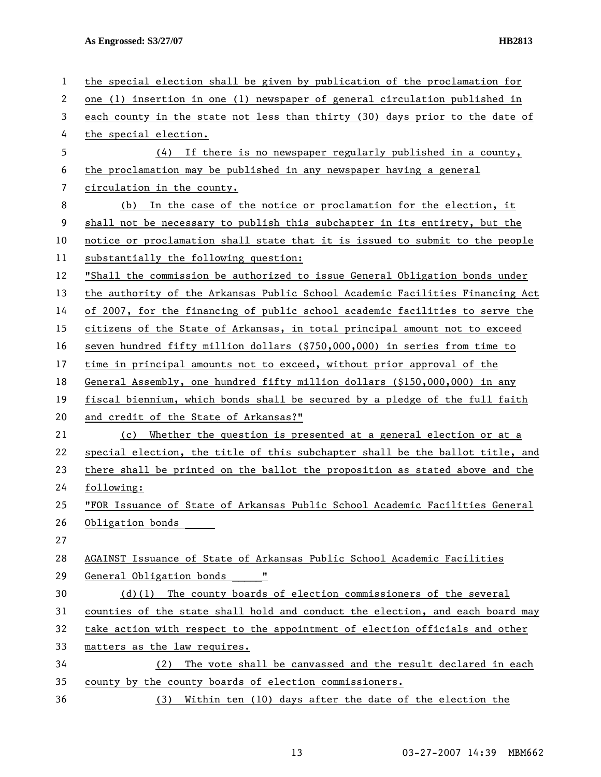| 1  | the special election shall be given by publication of the proclamation for    |
|----|-------------------------------------------------------------------------------|
| 2  | one (1) insertion in one (1) newspaper of general circulation published in    |
| 3  | each county in the state not less than thirty (30) days prior to the date of  |
| 4  | the special election.                                                         |
| 5  | (4) If there is no newspaper regularly published in a county,                 |
| 6  | the proclamation may be published in any newspaper having a general           |
| 7  | circulation in the county.                                                    |
| 8  | In the case of the notice or proclamation for the election, it<br>(b)         |
| 9  | shall not be necessary to publish this subchapter in its entirety, but the    |
| 10 | notice or proclamation shall state that it is issued to submit to the people  |
| 11 | substantially the following question:                                         |
| 12 | "Shall the commission be authorized to issue General Obligation bonds under   |
| 13 | the authority of the Arkansas Public School Academic Facilities Financing Act |
| 14 | of 2007, for the financing of public school academic facilities to serve the  |
| 15 | citizens of the State of Arkansas, in total principal amount not to exceed    |
| 16 | seven hundred fifty million dollars (\$750,000,000) in series from time to    |
| 17 | time in principal amounts not to exceed, without prior approval of the        |
| 18 | General Assembly, one hundred fifty million dollars (\$150,000,000) in any    |
| 19 | fiscal biennium, which bonds shall be secured by a pledge of the full faith   |
| 20 | and credit of the State of Arkansas?"                                         |
| 21 | (c) Whether the question is presented at a general election or at a           |
| 22 | special election, the title of this subchapter shall be the ballot title, and |
| 23 | there shall be printed on the ballot the proposition as stated above and the  |
| 24 | following:                                                                    |
| 25 | "FOR Issuance of State of Arkansas Public School Academic Facilities General  |
| 26 | Obligation bonds                                                              |
| 27 |                                                                               |
| 28 | AGAINST Issuance of State of Arkansas Public School Academic Facilities       |
| 29 | 11<br>General Obligation bonds                                                |
| 30 | $(d)(1)$ The county boards of election commissioners of the several           |
| 31 | counties of the state shall hold and conduct the election, and each board may |
| 32 | take action with respect to the appointment of election officials and other   |
| 33 | matters as the law requires.                                                  |
| 34 | The vote shall be canvassed and the result declared in each<br>(2)            |
| 35 | county by the county boards of election commissioners.                        |
| 36 | Within ten (10) days after the date of the election the<br>(3)                |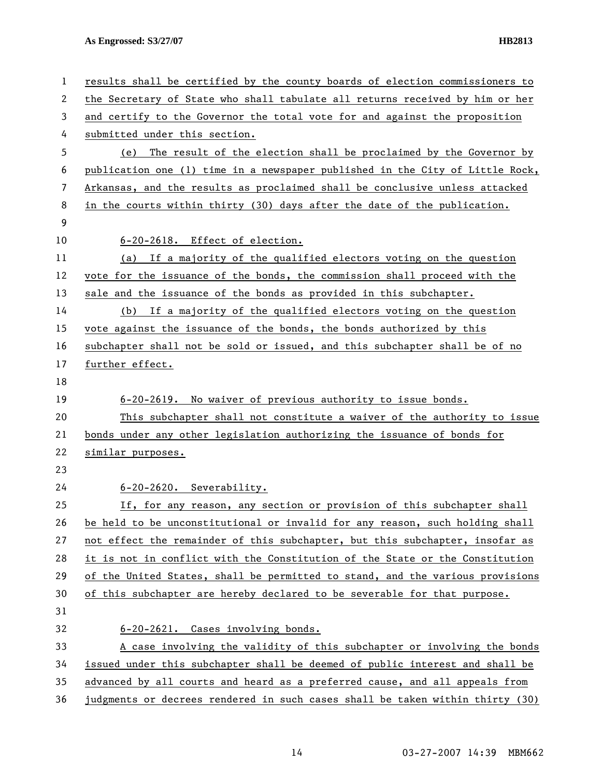| 1  | results shall be certified by the county boards of election commissioners to  |
|----|-------------------------------------------------------------------------------|
| 2  | the Secretary of State who shall tabulate all returns received by him or her  |
| 3  | and certify to the Governor the total vote for and against the proposition    |
| 4  | submitted under this section.                                                 |
| 5  | (e) The result of the election shall be proclaimed by the Governor by         |
| 6  | publication one (1) time in a newspaper published in the City of Little Rock, |
| 7  | Arkansas, and the results as proclaimed shall be conclusive unless attacked   |
| 8  | in the courts within thirty (30) days after the date of the publication.      |
| 9  |                                                                               |
| 10 | 6-20-2618. Effect of election.                                                |
| 11 | (a) If a majority of the qualified electors voting on the question            |
| 12 | vote for the issuance of the bonds, the commission shall proceed with the     |
| 13 | sale and the issuance of the bonds as provided in this subchapter.            |
| 14 | (b) If a majority of the qualified electors voting on the question            |
| 15 | vote against the issuance of the bonds, the bonds authorized by this          |
| 16 | subchapter shall not be sold or issued, and this subchapter shall be of no    |
| 17 | further effect.                                                               |
| 18 |                                                                               |
| 19 | 6-20-2619. No waiver of previous authority to issue bonds.                    |
| 20 | This subchapter shall not constitute a waiver of the authority to issue       |
| 21 | bonds under any other legislation authorizing the issuance of bonds for       |
| 22 | similar purposes.                                                             |
| 23 |                                                                               |
| 24 | 6-20-2620. Severability.                                                      |
| 25 | If, for any reason, any section or provision of this subchapter shall         |
| 26 | be held to be unconstitutional or invalid for any reason, such holding shall  |
| 27 | not effect the remainder of this subchapter, but this subchapter, insofar as  |
| 28 | it is not in conflict with the Constitution of the State or the Constitution  |
| 29 | of the United States, shall be permitted to stand, and the various provisions |
| 30 | of this subchapter are hereby declared to be severable for that purpose.      |
| 31 |                                                                               |
| 32 | 6-20-2621. Cases involving bonds.                                             |
| 33 | A case involving the validity of this subchapter or involving the bonds       |
| 34 | issued under this subchapter shall be deemed of public interest and shall be  |
| 35 | advanced by all courts and heard as a preferred cause, and all appeals from   |
| 36 | judgments or decrees rendered in such cases shall be taken within thirty (30) |